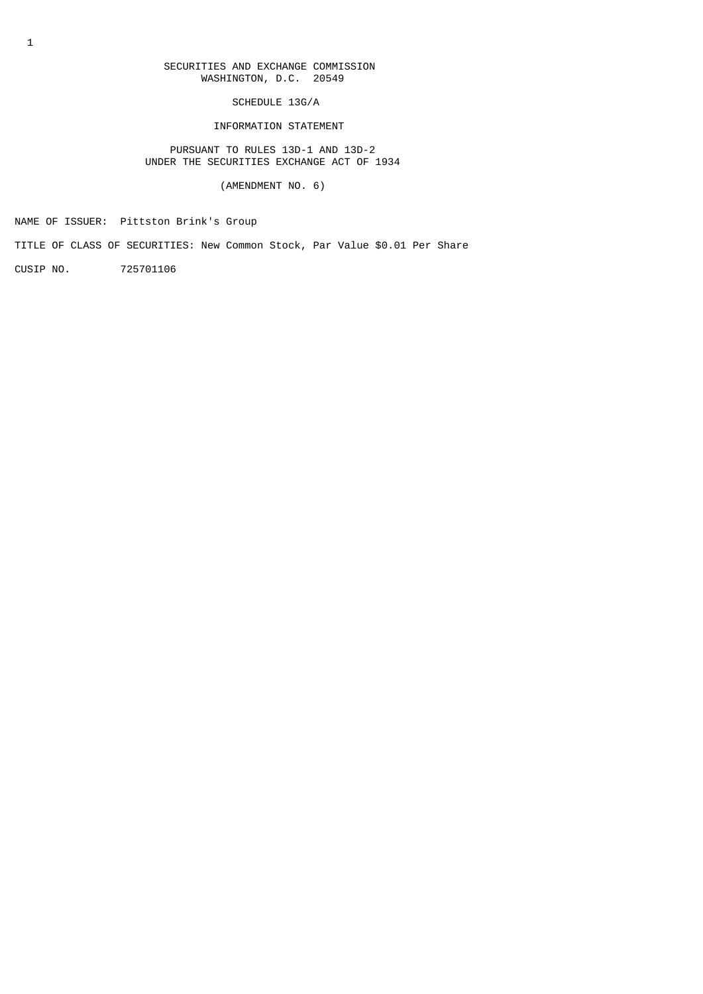# SECURITIES AND EXCHANGE COMMISSION WASHINGTON, D.C. 20549

SCHEDULE 13G/A

INFORMATION STATEMENT

 PURSUANT TO RULES 13D-1 AND 13D-2 UNDER THE SECURITIES EXCHANGE ACT OF 1934

(AMENDMENT NO. 6)

NAME OF ISSUER: Pittston Brink's Group

TITLE OF CLASS OF SECURITIES: New Common Stock, Par Value \$0.01 Per Share

CUSIP NO. 725701106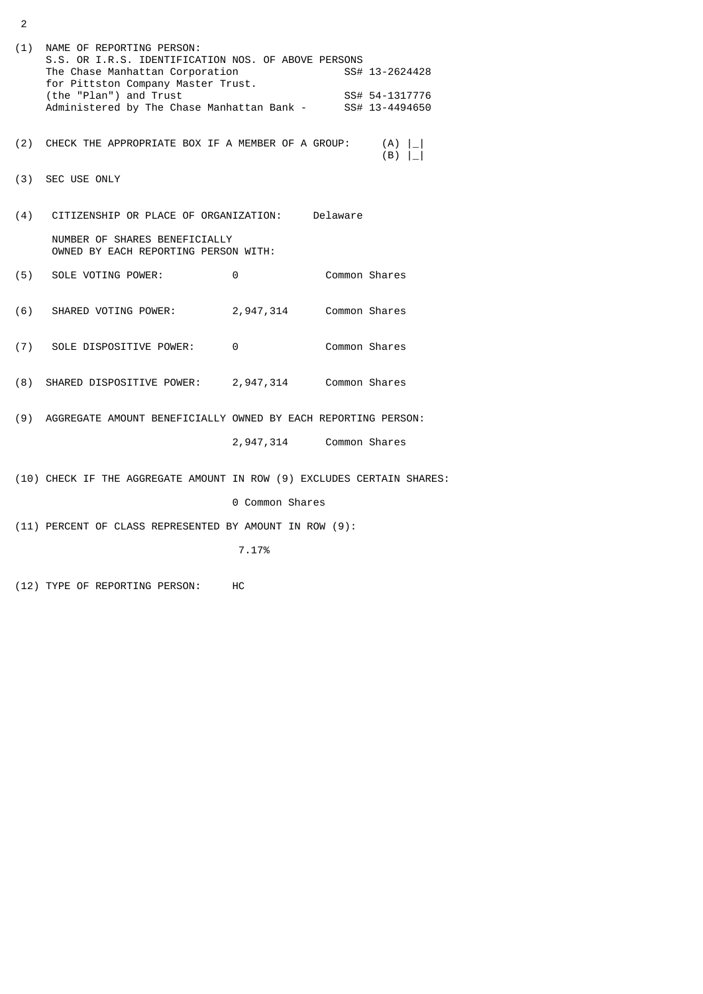|     | (1) NAME OF REPORTING PERSON:<br>S.S. OR I.R.S. IDENTIFICATION NOS. OF ABOVE PERSONS<br>The Chase Manhattan Corporation<br>for Pittston Company Master Trust.<br>(the "Plan") and Trust<br>Administered by The Chase Manhattan Bank - SS# 13-4494650 |                         |  | SS# 13-2624428<br>SS# 54-1317776 |  |  |
|-----|------------------------------------------------------------------------------------------------------------------------------------------------------------------------------------------------------------------------------------------------------|-------------------------|--|----------------------------------|--|--|
| (2) | CHECK THE APPROPRIATE BOX IF A MEMBER OF A GROUP:                                                                                                                                                                                                    |                         |  | (A)  <br>(B)                     |  |  |
|     | (3) SEC USE ONLY                                                                                                                                                                                                                                     |                         |  |                                  |  |  |
| (4) | CITIZENSHIP OR PLACE OF ORGANIZATION: Delaware                                                                                                                                                                                                       |                         |  |                                  |  |  |
|     | NUMBER OF SHARES BENEFICIALLY<br>OWNED BY EACH REPORTING PERSON WITH:                                                                                                                                                                                |                         |  |                                  |  |  |
| (5) | SOLE VOTING POWER:                                                                                                                                                                                                                                   | 0                       |  | Common Shares                    |  |  |
| (6) | SHARED VOTING POWER:                                                                                                                                                                                                                                 | 2,947,314               |  | Common Shares                    |  |  |
|     | (7) SOLE DISPOSITIVE POWER: 0                                                                                                                                                                                                                        |                         |  | Common Shares                    |  |  |
| (8) | SHARED DISPOSITIVE POWER: 2,947,314 Common Shares                                                                                                                                                                                                    |                         |  |                                  |  |  |
|     | (9) AGGREGATE AMOUNT BENEFICIALLY OWNED BY EACH REPORTING PERSON:                                                                                                                                                                                    |                         |  |                                  |  |  |
|     |                                                                                                                                                                                                                                                      | 2,947,314 Common Shares |  |                                  |  |  |
|     | (10) CHECK IF THE AGGREGATE AMOUNT IN ROW (9) EXCLUDES CERTAIN SHARES:                                                                                                                                                                               |                         |  |                                  |  |  |
|     |                                                                                                                                                                                                                                                      | 0 Common Shares         |  |                                  |  |  |
|     | (11) PERCENT OF CLASS REPRESENTED BY AMOUNT IN ROW (9):                                                                                                                                                                                              |                         |  |                                  |  |  |
|     |                                                                                                                                                                                                                                                      | 7.17%                   |  |                                  |  |  |

(12) TYPE OF REPORTING PERSON: HC

2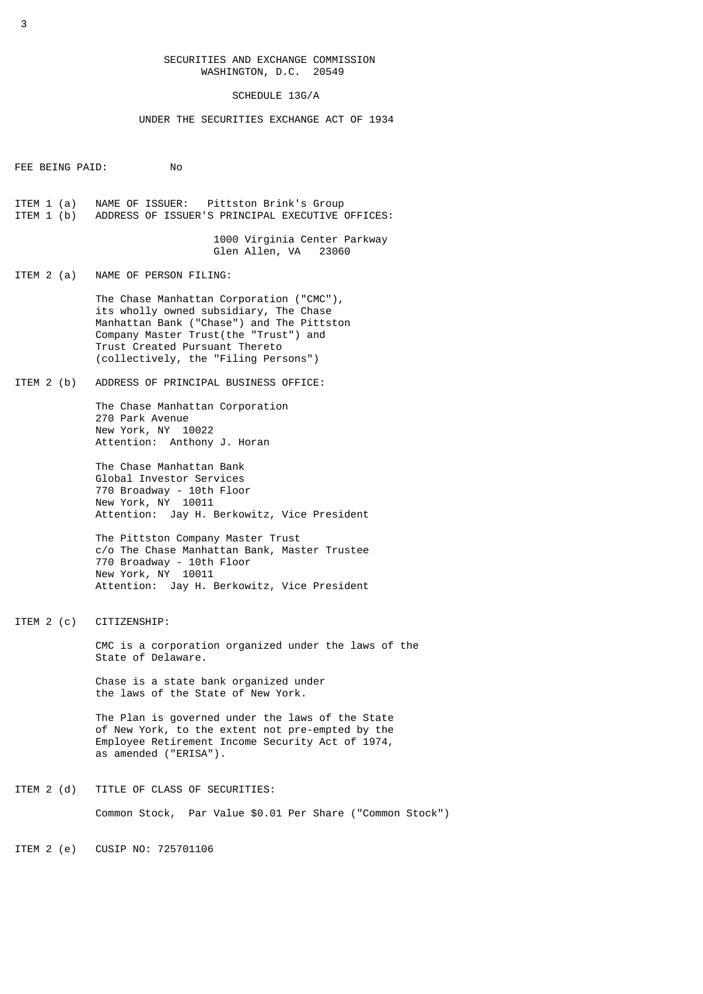## SECURITIES AND EXCHANGE COMMISSION WASHINGTON, D.C. 20549

### SCHEDULE 13G/A

### UNDER THE SECURITIES EXCHANGE ACT OF 1934

FEE BEING PAID: No

ITEM 1 (a) NAME OF ISSUER: Pittston Brink's Group<br>ITEM 1 (b) ADDRESS OF ISSUER'S PRINCIPAL EXECUTIVE ADDRESS OF ISSUER'S PRINCIPAL EXECUTIVE OFFICES:

> 1000 Virginia Center Parkway Glen Allen, VA

ITEM 2 (a) NAME OF PERSON FILING:

 The Chase Manhattan Corporation ("CMC"), its wholly owned subsidiary, The Chase Manhattan Bank ("Chase") and The Pittston Company Master Trust(the "Trust") and Trust Created Pursuant Thereto (collectively, the "Filing Persons")

ITEM 2 (b) ADDRESS OF PRINCIPAL BUSINESS OFFICE:

 The Chase Manhattan Corporation 270 Park Avenue New York, NY 10022 Attention: Anthony J. Horan

 The Chase Manhattan Bank Global Investor Services 770 Broadway - 10th Floor New York, NY 10011 Attention: Jay H. Berkowitz, Vice President

 The Pittston Company Master Trust c/o The Chase Manhattan Bank, Master Trustee 770 Broadway - 10th Floor New York, NY 10011 Attention: Jay H. Berkowitz, Vice President

ITEM 2 (c) CITIZENSHIP:

 CMC is a corporation organized under the laws of the State of Delaware.

 Chase is a state bank organized under the laws of the State of New York.

 The Plan is governed under the laws of the State of New York, to the extent not pre-empted by the Employee Retirement Income Security Act of 1974, as amended ("ERISA").

ITEM 2 (d) TITLE OF CLASS OF SECURITIES: Common Stock, Par Value \$0.01 Per Share ("Common Stock")

ITEM 2 (e) CUSIP NO: 725701106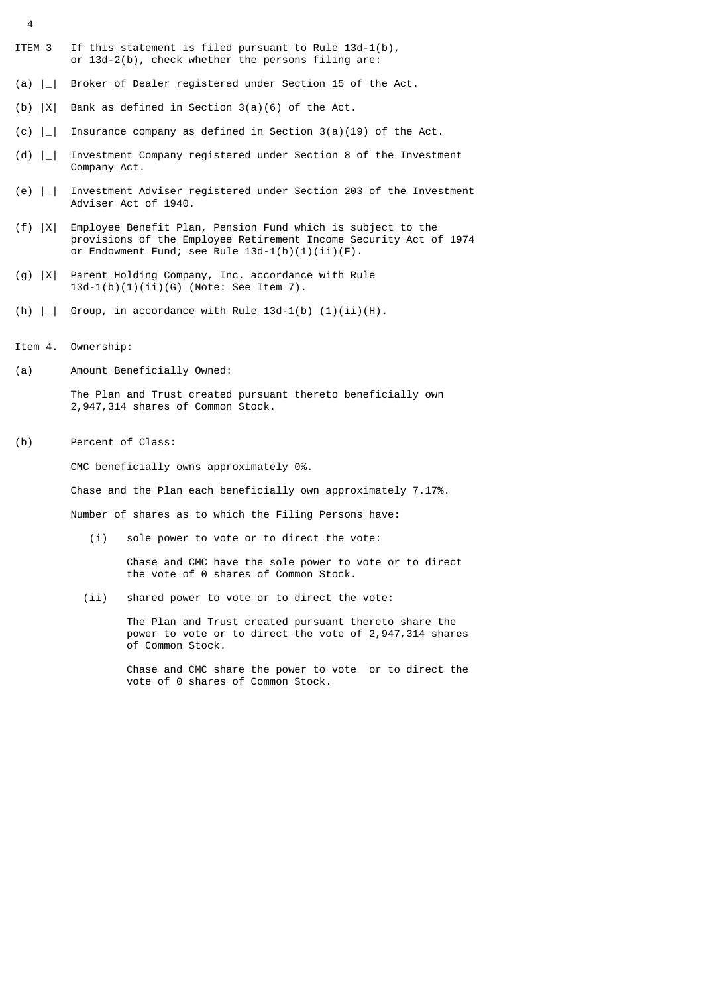- ITEM 3 If this statement is filed pursuant to Rule 13d-1(b), or  $13d-2(b)$ , check whether the persons filing are:
- (a) |\_| Broker of Dealer registered under Section 15 of the Act.
- (b) |X| Bank as defined in Section 3(a)(6) of the Act.
- (c)  $\vert \_ \vert$  Insurance company as defined in Section 3(a)(19) of the Act.
- (d) |\_| Investment Company registered under Section 8 of the Investment Company Act.
- (e) |\_| Investment Adviser registered under Section 203 of the Investment Adviser Act of 1940.
- (f) |X| Employee Benefit Plan, Pension Fund which is subject to the provisions of the Employee Retirement Income Security Act of 1974 or Endowment Fund; see Rule  $13d-1(b)(1)(ii)(F)$ .
- (g) |X| Parent Holding Company, Inc. accordance with Rule 13d-1(b)(1)(ii)(G) (Note: See Item 7).
- (h)  $\vert \_ \vert$  Group, in accordance with Rule 13d-1(b)  $(1)(ii)(H)$ .
- Item 4. Ownership:

4

(a) Amount Beneficially Owned:

 The Plan and Trust created pursuant thereto beneficially own 2,947,314 shares of Common Stock.

(b) Percent of Class:

CMC beneficially owns approximately 0%.

Chase and the Plan each beneficially own approximately 7.17%.

Number of shares as to which the Filing Persons have:

(i) sole power to vote or to direct the vote:

 Chase and CMC have the sole power to vote or to direct the vote of 0 shares of Common Stock.

(ii) shared power to vote or to direct the vote:

 The Plan and Trust created pursuant thereto share the power to vote or to direct the vote of 2,947,314 shares of Common Stock.

 Chase and CMC share the power to vote or to direct the vote of 0 shares of Common Stock.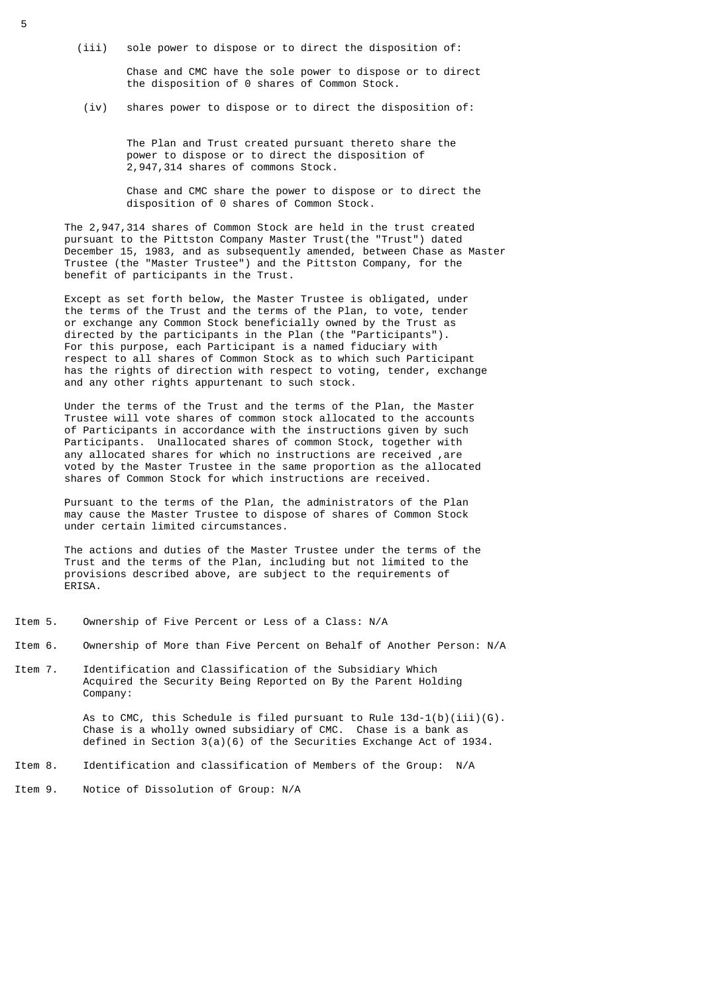(iii) sole power to dispose or to direct the disposition of:

 Chase and CMC have the sole power to dispose or to direct the disposition of 0 shares of Common Stock.

(iv) shares power to dispose or to direct the disposition of:

 The Plan and Trust created pursuant thereto share the power to dispose or to direct the disposition of 2,947,314 shares of commons Stock.

 Chase and CMC share the power to dispose or to direct the disposition of 0 shares of Common Stock.

 The 2,947,314 shares of Common Stock are held in the trust created pursuant to the Pittston Company Master Trust(the "Trust") dated December 15, 1983, and as subsequently amended, between Chase as Master Trustee (the "Master Trustee") and the Pittston Company, for the benefit of participants in the Trust.

 Except as set forth below, the Master Trustee is obligated, under the terms of the Trust and the terms of the Plan, to vote, tender or exchange any Common Stock beneficially owned by the Trust as directed by the participants in the Plan (the "Participants"). For this purpose, each Participant is a named fiduciary with respect to all shares of Common Stock as to which such Participant has the rights of direction with respect to voting, tender, exchange and any other rights appurtenant to such stock.

 Under the terms of the Trust and the terms of the Plan, the Master Trustee will vote shares of common stock allocated to the accounts of Participants in accordance with the instructions given by such Participants. Unallocated shares of common Stock, together with any allocated shares for which no instructions are received ,are voted by the Master Trustee in the same proportion as the allocated shares of Common Stock for which instructions are received.

 Pursuant to the terms of the Plan, the administrators of the Plan may cause the Master Trustee to dispose of shares of Common Stock under certain limited circumstances.

 The actions and duties of the Master Trustee under the terms of the Trust and the terms of the Plan, including but not limited to the provisions described above, are subject to the requirements of ERISA.

- Item 5. Ownership of Five Percent or Less of a Class: N/A
- Item 6. Ownership of More than Five Percent on Behalf of Another Person: N/A
- Item 7. Identification and Classification of the Subsidiary Which Acquired the Security Being Reported on By the Parent Holding Company:

As to CMC, this Schedule is filed pursuant to Rule  $13d-1(b)(iii)(G)$ . Chase is a wholly owned subsidiary of CMC. Chase is a bank as defined in Section 3(a)(6) of the Securities Exchange Act of 1934.

- Item 8. Identification and classification of Members of the Group: N/A
- Item 9. Notice of Dissolution of Group: N/A

5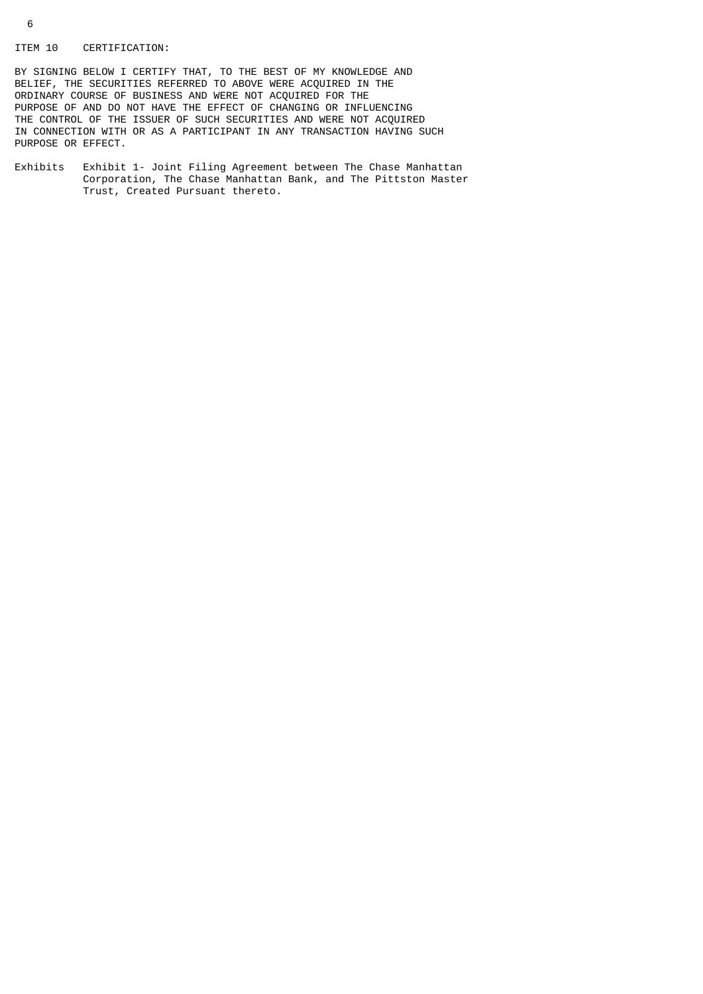### ITEM 10 CERTIFICATION:

BY SIGNING BELOW I CERTIFY THAT, TO THE BEST OF MY KNOWLEDGE AND BELIEF, THE SECURITIES REFERRED TO ABOVE WERE ACQUIRED IN THE ORDINARY COURSE OF BUSINESS AND WERE NOT ACQUIRED FOR THE PURPOSE OF AND DO NOT HAVE THE EFFECT OF CHANGING OR INFLUENCING THE CONTROL OF THE ISSUER OF SUCH SECURITIES AND WERE NOT ACQUIRED IN CONNECTION WITH OR AS A PARTICIPANT IN ANY TRANSACTION HAVING SUCH PURPOSE OR EFFECT.

Exhibits Exhibit 1- Joint Filing Agreement between The Chase Manhattan Corporation, The Chase Manhattan Bank, and The Pittston Master Trust, Created Pursuant thereto.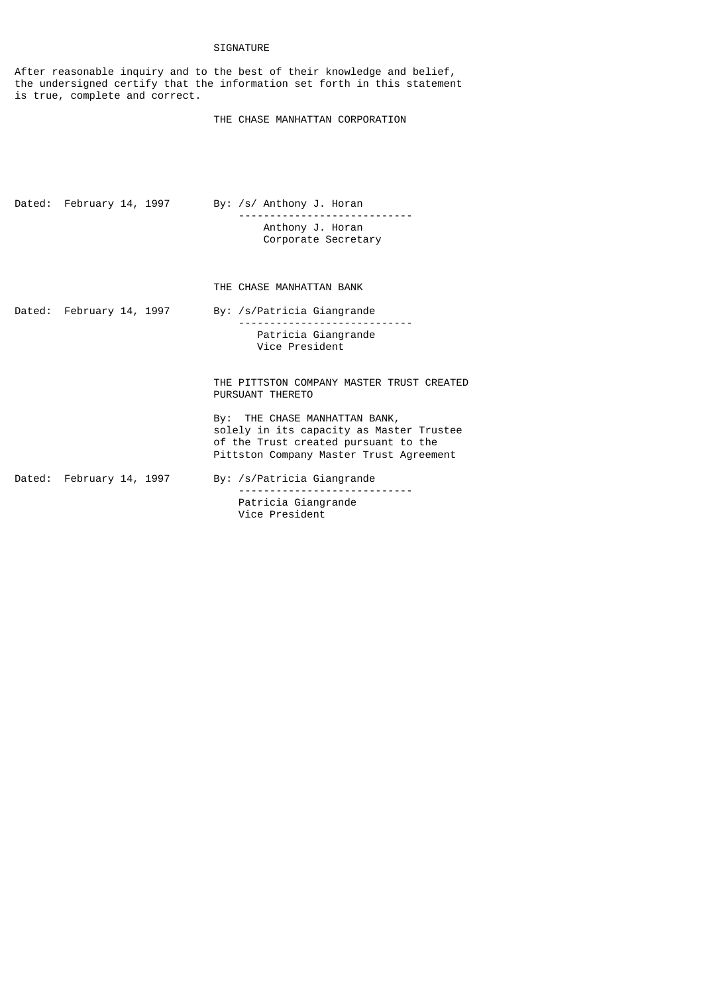# SIGNATURE

After reasonable inquiry and to the best of their knowledge and belief, the undersigned certify that the information set forth in this statement is true, complete and correct.

## THE CHASE MANHATTAN CORPORATION

| Dated: February 14, 1997 |  | By: /s/ Anthony J. Horan                |  |  |
|--------------------------|--|-----------------------------------------|--|--|
|                          |  | Anthony J. Horan<br>Corporate Secretary |  |  |
|                          |  | THE CHASE MANHATTAN BANK                |  |  |

Dated: February 14, 1997 By: /s/Patricia Giangrande ---------------------------- Patricia Giangrande Vice President

> THE PITTSTON COMPANY MASTER TRUST CREATED PURSUANT THERETO

 By: THE CHASE MANHATTAN BANK, solely in its capacity as Master Trustee of the Trust created pursuant to the Pittston Company Master Trust Agreement

Dated: February 14, 1997 By: /s/Patricia Giangrande

 ---------------------------- Patricia Giangrande Vice President